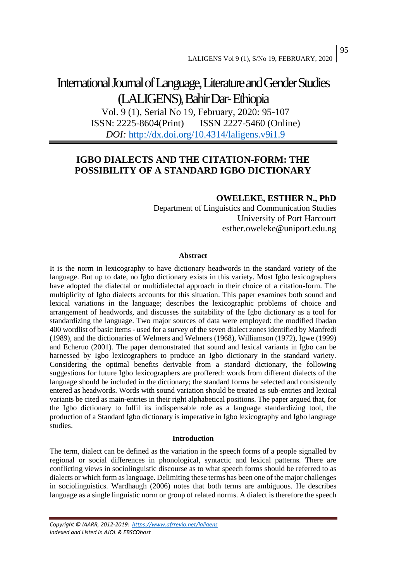# International Journal of Language, Literature and Gender Studies (LALIGENS), Bahir Dar-Ethiopia

Vol. 9 (1), Serial No 19, February, 2020: 95-107 ISSN: 2225-8604(Print) ISSN 2227-5460 (Online) *DOI:* <http://dx.doi.org/10.4314/laligens.v9i1.9>

# **IGBO DIALECTS AND THE CITATION-FORM: THE POSSIBILITY OF A STANDARD IGBO DICTIONARY**

# **OWELEKE, ESTHER N., PhD**

Department of Linguistics and Communication Studies University of Port Harcourt esther.oweleke@uniport.edu.ng

#### **Abstract**

It is the norm in lexicography to have dictionary headwords in the standard variety of the language. But up to date, no Igbo dictionary exists in this variety. Most Igbo lexicographers have adopted the dialectal or multidialectal approach in their choice of a citation-form. The multiplicity of Igbo dialects accounts for this situation. This paper examines both sound and lexical variations in the language; describes the lexicographic problems of choice and arrangement of headwords, and discusses the suitability of the Igbo dictionary as a tool for standardizing the language. Two major sources of data were employed: the modified Ibadan 400 wordlist of basic items - used for a survey of the seven dialect zones identified by Manfredi (1989), and the dictionaries of Welmers and Welmers (1968), Williamson (1972), Igwe (1999) and Echeruo (2001). The paper demonstrated that sound and lexical variants in Igbo can be harnessed by Igbo lexicographers to produce an Igbo dictionary in the standard variety. Considering the optimal benefits derivable from a standard dictionary, the following suggestions for future Igbo lexicographers are proffered: words from different dialects of the language should be included in the dictionary; the standard forms be selected and consistently entered as headwords. Words with sound variation should be treated as sub-entries and lexical variants be cited as main-entries in their right alphabetical positions. The paper argued that, for the Igbo dictionary to fulfil its indispensable role as a language standardizing tool, the production of a Standard Igbo dictionary is imperative in Igbo lexicography and Igbo language studies.

#### **Introduction**

The term, dialect can be defined as the variation in the speech forms of a people signalled by regional or social differences in phonological, syntactic and lexical patterns. There are conflicting views in sociolinguistic discourse as to what speech forms should be referred to as dialects or which form as language. Delimiting these terms has been one of the major challenges in sociolinguistics. Wardhaugh (2006) notes that both terms are ambiguous. He describes language as a single linguistic norm or group of related norms. A dialect is therefore the speech

*Copyright © IAARR, 2012-2019: <https://www.afrrevjo.net/laligens> Indexed and Listed in AJOL & EBSCOhost*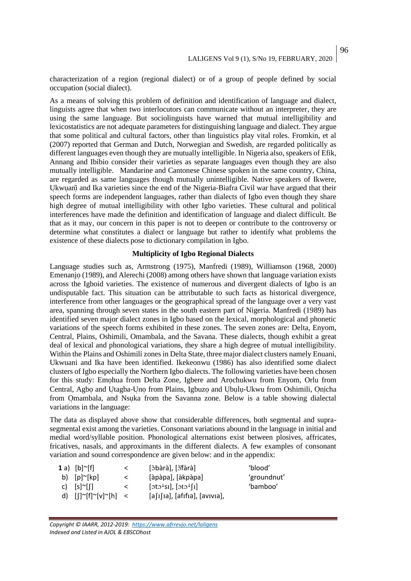characterization of a region (regional dialect) or of a group of people defined by social occupation (social dialect).

As a means of solving this problem of definition and identification of language and dialect, linguists agree that when two interlocutors can communicate without an interpreter, they are using the same language. But sociolinguists have warned that mutual intelligibility and lexicostatistics are not adequate parameters for distinguishing language and dialect. They argue that some political and cultural factors, other than linguistics play vital roles. Fromkin, et al (2007) reported that German and Dutch, Norwegian and Swedish, are regarded politically as different languages even though they are mutually intelligible. In Nigeria also, speakers of Efik, Annang and Ibibio consider their varieties as separate languages even though they are also mutually intelligible. Mandarine and Cantonese Chinese spoken in the same country, China, are regarded as same languages though mutually unintelligible. Native speakers of Ikwere, Ukwuani and Ika varieties since the end of the Nigeria-Biafra Civil war have argued that their speech forms are independent languages, rather than dialects of Igbo even though they share high degree of mutual intelligibility with other Igbo varieties. These cultural and political interferences have made the definition and identification of language and dialect difficult. Be that as it may, our concern in this paper is not to deepen or contribute to the controversy or determine what constitutes a dialect or language but rather to identify what problems the existence of these dialects pose to dictionary compilation in Igbo.

### **Multiplicity of Igbo Regional Dialects**

Language studies such as, Armstrong (1975), Manfredi (1989), Williamson (1968, 2000) Emenanjo (1989), and Alerechi (2008) among others have shown that language variation exists across the Igboid varieties. The existence of numerous and divergent dialects of Igbo is an undisputable fact. This situation can be attributable to such facts as historical divergence, interference from other languages or the geographical spread of the language over a very vast area, spanning through seven states in the south eastern part of Nigeria. Manfredi (1989) has identified seven major dialect zones in Igbo based on the lexical, morphological and phonetic variations of the speech forms exhibited in these zones. The seven zones are: Delta, Enyom, Central, Plains, Oshimili, Omambala, and the Savana. These dialects, though exhibit a great deal of lexical and phonological variations, they share a high degree of mutual intelligibility. Within the Plains and Oshimili zones in Delta State, three major dialect clusters namely Enuani, Ukwuani and Ika have been identified. Ikekeonwu (1986) has also identified some dialect clusters of Igbo especially the Northern Igbo dialects. The following varieties have been chosen for this study: Emohua from Delta Zone, Igbere and Arochukwu from Enyom, Orlu from Central, Agbo and Utagba-Uno from Plains, Igbuzo and Ubulu-Ukwu from Oshimili, Onicha from Omambala, and Nsuka from the Savanna zone. Below is a table showing dialectal variations in the language:

The data as displayed above show that considerable differences, both segmental and suprasegmental exist among the varieties. Consonant variations abound in the language in initial and medial word/syllable position. Phonological alternations exist between plosives, affricates, fricatives, nasals, and approximants in the different dialects. A few examples of consonant variation and sound correspondence are given below: and in the appendix:

| 1 a) $[b]~[f]$                           | $\lt$   | [òbàrà], [òfàrà]                                                           | 'blood'     |
|------------------------------------------|---------|----------------------------------------------------------------------------|-------------|
| b) $[p]^\sim[kp]$                        | $\lt$   | [àpàpa], [àkpàpa]                                                          | 'groundnut' |
| c) $[s]^\sim[[]$                         | $\prec$ | $[\text{oto}^{\downarrow} \text{Si}], [\text{oto}^{\downarrow} \text{fi}]$ | 'bamboo'    |
| d) $[[]^{\sim}[f]^{\sim}[v]^{\sim}[h]$ < |         | [a[i][a], [afifia], [avivia],                                              |             |
|                                          |         |                                                                            |             |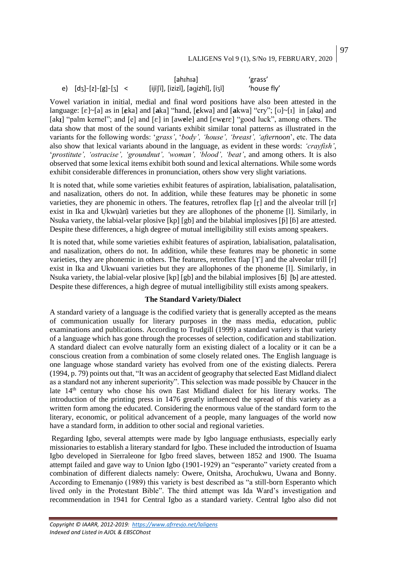|                                               | [ahɪhɪa]                          | 'grass'     |
|-----------------------------------------------|-----------------------------------|-------------|
| e) $[d_3] \times [z] \times [g] \times [3]$ < | [ijīʃī], [izizī], [agizhî], [iʒī] | 'house fly' |

Vowel variation in initial, medial and final word positions have also been attested in the language:  $[\epsilon] \sim [\alpha]$  as in  $[\epsilon \text{ka}]$  and  $[\epsilon \text{ka}]$  "hand,  $[\epsilon \text{kwa}]$  and  $[\epsilon \text{kwa}]$  "cry";  $[\upsilon] \sim [1]$  in  $[\epsilon \text{ka}]$  and [akɪ] "palm kernel"; and  $[e]$  and  $[e]$  in [awele] and  $[ewere]$  "good luck", among others. The data show that most of the sound variants exhibit similar tonal patterns as illustrated in the variants for the following words: '*grass'*, '*body', 'house', 'breast', 'afternoon*', etc. The data also show that lexical variants abound in the language, as evident in these words: *'crayfish'*, '*prostitute', 'ostracise', 'groundnut', 'woman', 'blood', 'beat'*, and among others. It is also observed that some lexical items exhibit both sound and lexical alternations. While some words exhibit considerable differences in pronunciation, others show very slight variations.

It is noted that, while some varieties exhibit features of aspiration, labialisation, palatalisation, and nasalization, others do not. In addition, while these features may be phonetic in some varieties, they are phonemic in others. The features, retroflex flap  $\lceil \mathbf{r} \rceil$  and the alveolar trill  $\lceil \mathbf{r} \rceil$ exist in Ika and Ukwuani varieties but they are allophones of the phoneme [l]. Similarly, in Nsuka variety, the labial-velar plosive [kp] [gb] and the bilabial implosives [ $\beta$ ] [ $\beta$ ] are attested. Despite these differences, a high degree of mutual intelligibility still exists among speakers.

It is noted that, while some varieties exhibit features of aspiration, labialisation, palatalisation, and nasalization, others do not. In addition, while these features may be phonetic in some varieties, they are phonemic in others. The features, retroflex flap [ϒ] and the alveolar trill [r] exist in Ika and Ukwuani varieties but they are allophones of the phoneme [l]. Similarly, in Nsuka variety, the labial-velar plosive [kp] [gb] and the bilabial implosives [5] [b] are attested. Despite these differences, a high degree of mutual intelligibility still exists among speakers.

#### **The Standard Variety/Dialect**

A standard variety of a language is the codified variety that is generally accepted as the means of communication usually for literary purposes in the mass media, education, public examinations and publications. According to Trudgill (1999) a standard variety is that variety of a language which has gone through the processes of selection, codification and stabilization. A standard dialect can evolve naturally form an existing dialect of a locality or it can be a conscious creation from a combination of some closely related ones. The English language is one language whose standard variety has evolved from one of the existing dialects. Perera (1994, p. 79) points out that, "It was an accident of geography that selected East Midland dialect as a standard not any inherent superiority". This selection was made possible by Chaucer in the late  $14<sup>th</sup>$  century who chose his own East Midland dialect for his literary works. The introduction of the printing press in 1476 greatly influenced the spread of this variety as a written form among the educated. Considering the enormous value of the standard form to the literary, economic, or political advancement of a people, many languages of the world now have a standard form, in addition to other social and regional varieties.

Regarding Igbo, several attempts were made by Igbo language enthusiasts, especially early missionaries to establish a literary standard for Igbo. These included the introduction of Isuama Igbo developed in Sierraleone for Igbo freed slaves, between 1852 and 1900. The Isuama attempt failed and gave way to Union Igbo (1901-1929) an "esperanto" variety created from a combination of different dialects namely: Owere, Onitsha, Arochukwu, Uwana and Bonny. According to Emenanjo (1989) this variety is best described as "a still-born Esperanto which lived only in the Protestant Bible". The third attempt was Ida Ward's investigation and recommendation in 1941 for Central Igbo as a standard variety. Central Igbo also did not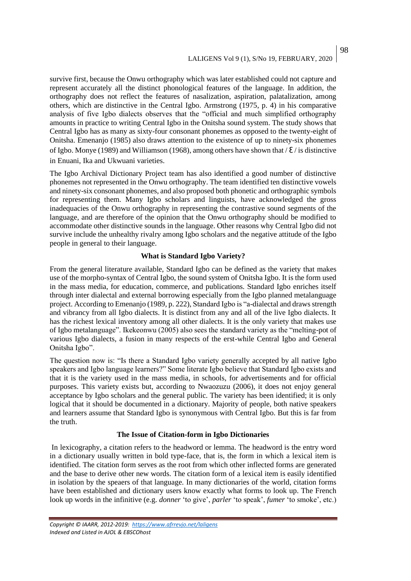survive first, because the Onwu orthography which was later established could not capture and represent accurately all the distinct phonological features of the language. In addition, the orthography does not reflect the features of nasalization, aspiration, palatalization, among others, which are distinctive in the Central Igbo. Armstrong (1975, p. 4) in his comparative analysis of five Igbo dialects observes that the "official and much simplified orthography amounts in practice to writing Central Igbo in the Onitsha sound system. The study shows that Central Igbo has as many as sixty-four consonant phonemes as opposed to the twenty-eight of Onitsha. Emenanjo (1985) also draws attention to the existence of up to ninety-six phonemes of Igbo. Monye (1989) and Williamson (1968), among others have shown that  $\ell$  is distinctive in Enuani, Ika and Ukwuani varieties.

The Igbo Archival Dictionary Project team has also identified a good number of distinctive phonemes not represented in the Onwu orthography. The team identified ten distinctive vowels and ninety-six consonant phonemes, and also proposed both phonetic and orthographic symbols for representing them. Many Igbo scholars and linguists, have acknowledged the gross inadequacies of the Onwu orthography in representing the contrastive sound segments of the language, and are therefore of the opinion that the Onwu orthography should be modified to accommodate other distinctive sounds in the language. Other reasons why Central Igbo did not survive include the unhealthy rivalry among Igbo scholars and the negative attitude of the Igbo people in general to their language.

#### **What is Standard Igbo Variety?**

From the general literature available, Standard Igbo can be defined as the variety that makes use of the morpho-syntax of Central Igbo, the sound system of Onitsha Igbo. It is the form used in the mass media, for education, commerce, and publications. Standard Igbo enriches itself through inter dialectal and external borrowing especially from the Igbo planned metalanguage project. According to Emenanjo (1989, p. 222), Standard Igbo is "a-dialectal and draws strength and vibrancy from all Igbo dialects. It is distinct from any and all of the live Igbo dialects. It has the richest lexical inventory among all other dialects. It is the only variety that makes use of Igbo metalanguage". Ikekeonwu (2005) also sees the standard variety as the "melting-pot of various Igbo dialects, a fusion in many respects of the erst-while Central Igbo and General Onitsha Igbo".

The question now is: "Is there a Standard Igbo variety generally accepted by all native Igbo speakers and Igbo language learners?" Some literate Igbo believe that Standard Igbo exists and that it is the variety used in the mass media, in schools, for advertisements and for official purposes. This variety exists but, according to Nwaozuzu (2006), it does not enjoy general acceptance by Igbo scholars and the general public. The variety has been identified; it is only logical that it should be documented in a dictionary. Majority of people, both native speakers and learners assume that Standard Igbo is synonymous with Central Igbo. But this is far from the truth.

#### **The Issue of Citation-form in Igbo Dictionaries**

In lexicography, a citation refers to the headword or lemma. The headword is the entry word in a dictionary usually written in bold type-face, that is, the form in which a lexical item is identified. The citation form serves as the root from which other inflected forms are generated and the base to derive other new words. The citation form of a lexical item is easily identified in isolation by the speaers of that language. In many dictionaries of the world, citation forms have been established and dictionary users know exactly what forms to look up. The French look up words in the infinitive (e.g. *donner* 'to give', *parler* 'to speak', *fumer* 'to smoke', etc.)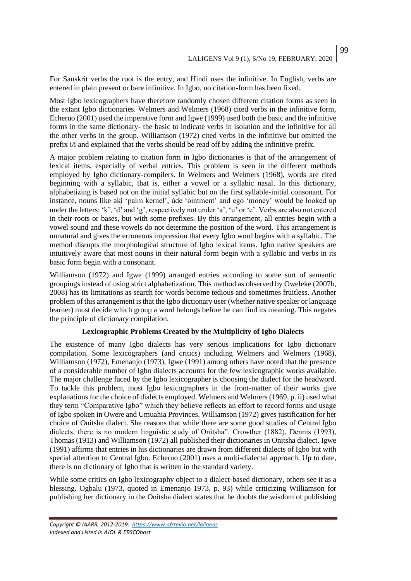99

For Sanskrit verbs the root is the entry, and Hindi uses the infinitive. In English, verbs are entered in plain present or bare infinitive. In Igbo, no citation-form has been fixed.

Most Igbo lexicographers have therefore randomly chosen different citation forms as seen in the extant Igbo dictionaries. Welmers and Welmers (1968) cited verbs in the infinitive form, Echeruo (2001) used the imperative form and Igwe (1999) used both the basic and the infinitive forms in the same dictionary- the basic to indicate verbs in isolation and the infinitive for all the other verbs in the group. Williamson (1972) cited verbs in the infinitive but omitted the prefix i/i and explained that the verbs should be read off by adding the infinitive prefix.

A major problem relating to citation form in Igbo dictionaries is that of the arrangement of lexical items, especially of verbal entries. This problem is seen in the different methods employed by Igbo dictionary-compilers. In Welmers and Welmers (1968), words are cited beginning with a syllabic, that is, either a vowel or a syllabic nasal. In this dictionary, alphabetizing is based not on the initial syllabic but on the first syllable-initial consonant. For instance, nouns like aki 'palm kernel', ùde 'ointment' and ego 'money' would be looked up under the letters: 'k', 'd' and 'g', respectively not under 'a', 'u' or 'e'. Verbs are also not entered in their roots or bases, but with some prefixes. By this arrangement, all entries begin with a vowel sound and these vowels do not determine the position of the word. This arrangement is unnatural and gives the erroneous impression that every Igbo word begins with a syllabic. The method disrupts the morphological structure of Igbo lexical items. Igbo native speakers are intuitively aware that most nouns in their natural form begin with a syllabic and verbs in its basic form begin with a consonant.

Williamson (1972) and Igwe (1999) arranged entries according to some sort of semantic groupings instead of using strict alphabetization. This method as observed by Oweleke (2007b, 2008) has its limitations as search for words become tedious and sometimes fruitless. Another problem of this arrangement is that the Igbo dictionary user (whether native speaker or language learner) must decide which group a word belongs before he can find its meaning. This negates the principle of dictionary compilation.

#### **Lexicographic Problems Created by the Multiplicity of Igbo Dialects**

The existence of many Igbo dialects has very serious implications for Igbo dictionary compilation. Some lexicographers (and critics) including Welmers and Welmers (1968), Williamson (1972), Emenanjo (1973), Igwe (1991) among others have noted that the presence of a considerable number of Igbo dialects accounts for the few lexicographic works available. The major challenge faced by the Igbo lexicographer is choosing the dialect for the headword. To tackle this problem, most Igbo lexicographers in the front-matter of their works give explanations for the choice of dialects employed. Welmers and Welmers (1969, p. ii) used what they term "Comparative Igbo" which they believe reflects an effort to record forms and usage of Igbo spoken in Owere and Umuahia Provinces. Williamson (1972) gives justification for her choice of Onitsha dialect. She reasons that while there are some good studies of Central Igbo dialects, there is no modern linguistic study of Onitsha". Crowther (1882), Dennis (1993), Thomas (1913) and Williamson (1972) all published their dictionaries in Onitsha dialect. Igwe (1991) affirms that entries in his dictionaries are drawn from different dialects of Igbo but with special attention to Central Igbo. Echeruo (2001) uses a multi-dialectal approach. Up to date, there is no dictionary of Igbo that is written in the standard variety.

While some critics on Igbo lexicography object to a dialect-based dictionary, others see it as a blessing. Ogbalu (1973, quoted in Emenanjo 1973, p. 93) while criticizing Williamson for publishing her dictionary in the Onitsha dialect states that he doubts the wisdom of publishing

*Copyright © IAARR, 2012-2019: <https://www.afrrevjo.net/laligens> Indexed and Listed in AJOL & EBSCOhost*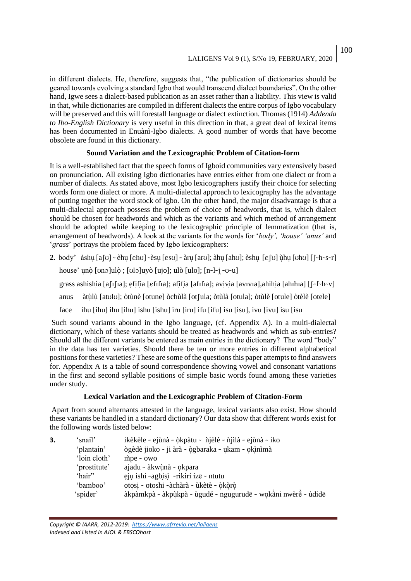in different dialects. He, therefore, suggests that, "the publication of dictionaries should be geared towards evolving a standard Igbo that would transcend dialect boundaries". On the other hand, Igwe sees a dialect-based publication as an asset rather than a liability. This view is valid in that, while dictionaries are compiled in different dialects the entire corpus of Igbo vocabulary will be preserved and this will forestall language or dialect extinction. Thomas (1914) *Addenda to Ibo-English Dictionary* is very useful in this direction in that, a great deal of lexical items has been documented in Enuànì-Igbo dialects. A good number of words that have become obsolete are found in this dictionary.

## **Sound Variation and the Lexicographic Problem of Citation-form**

It is a well-established fact that the speech forms of Igboid communities vary extensively based on pronunciation. All existing Igbo dictionaries have entries either from one dialect or from a number of dialects. As stated above, most Igbo lexicographers justify their choice for selecting words form one dialect or more. A multi-dialectal approach to lexicography has the advantage of putting together the word stock of Igbo. On the other hand, the major disadvantage is that a multi-dialectal approach possess the problem of choice of headwords, that is, which dialect should be chosen for headwords and which as the variants and which method of arrangement should be adopted while keeping to the lexicographic principle of lemmatization (that is, arrangement of headwords). A look at the variants for the words for '*body', 'house' 'anus'* and '*grass*' portrays the problem faced by Igbo lexicographers:

**2.** body' àshu  $[a]$   $\circ$  èhu  $[\text{eh}$ U  $]$   $\circ$ èsu  $[\text{es}$ U  $]$   $\circ$ àru  $[\text{arb}$ ; àhu  $[\text{ah}$ U; èshu  $[\varepsilon]$  ùhu  $[\text{bh}$ U $]$  $[\lceil \circ \text{h} \cdot \text{s} \cdot \text{r} \rceil]$ 

house' unò [unɔ]ulò ; [ulɔ]uyò [ujo]; ulò [ulo]; [n~l~j ~u~u]

grass ashishia [a[1[1a]; efifia [efifia]; afifia [afifia]; avivia [avɪvɪa],ahihia [ahɪhɪa] [f-f-h-v]

anus àtùlù [atʊlʊ]; òtùnè [otune] òchùlà [ot [ula; òtùlà [otula]; òtùlè [otule] òtèlè [otele]

face ihu [ihu] ihu [ihu] ishu [ishu] iru [iru] ifu [ifu] isu [isu], ivu [ivu] isu [isu

Such sound variants abound in the Igbo language, (cf. Appendix A). In a multi-dialectal dictionary, which of these variants should be treated as headwords and which as sub-entries? Should all the different variants be entered as main entries in the dictionary? The word "body" in the data has ten varieties. Should there be ten or more entries in different alphabetical positions for these varieties? These are some of the questions this paper attempts to find answers for. Appendix A is a table of sound correspondence showing vowel and consonant variations in the first and second syllable positions of simple basic words found among these varieties under study.

# **Lexical Variation and the Lexicographic Problem of Citation-Form**

Apart from sound alternants attested in the language, lexical variants also exist. How should these variants be handled in a standard dictionary? Our data show that different words exist for the following words listed below:

| 3. | 'snail'      | ikèkèle ~ ejùnà ~ òkpàtu ~ nijèlè ~ nijìlà ~ ejùnà ~ iko      |
|----|--------------|---------------------------------------------------------------|
|    | 'plantain'   | ògèdè jioko ~ ji àrà ~ ògbaraka ~ ukam ~ okìnìmà              |
|    | 'loin cloth' | $mpe \sim owo$                                                |
|    | 'prostitute' | ajadu ~ àkwùnà ~ okpara                                       |
|    | 'hair"       | eju ishi ~agbisì ~rikiri izē ~ ntutu                          |
|    | 'bamboo'     | otosi ~ otoshi ~àchàrà ~ ùkètè ~ òkòrò                        |
|    | 'spider'     | àkpàmkpà ~ àkpùkpà ~ ùgudé ~ ngugurudē ~ wokāni nwèrè ~ ùdidē |

100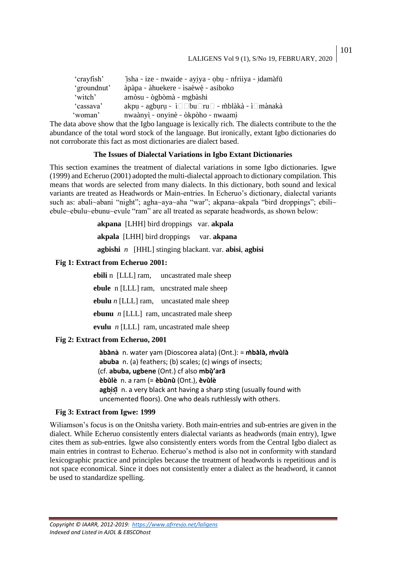| 'crayfish'  | isha ~ ize ~ nwaide ~ ayiya ~ obu ~ nfriiya ~ idamàfū                    |
|-------------|--------------------------------------------------------------------------|
| 'groundnut' | àpàpa ~ àhuekere ~ ìsaèwè ~ asiboko                                      |
| 'witch'     | amòsu ~ ògbòmà ~ mgbàshi                                                 |
| 'cassava'   | akpu ~ agburu ~ ì $\Box$ bu $\Box$ ru $\Box$ ~ m̀blàkà ~ ì $\Box$ mànakà |
| 'woman'     | nwaànyì ~ onyinè ~ òkpòho ~ nwaamì                                       |

The data above show that the Igbo language is lexically rich. The dialects contribute to the the abundance of the total word stock of the language. But ironically, extant Igbo dictionaries do not corroborate this fact as most dictionaries are dialect based.

#### **The Issues of Dialectal Variations in Igbo Extant Dictionaries**

This section examines the treatment of dialectal variations in some Igbo dictionaries. Igwe (1999) and Echeruo (2001) adopted the multi-dialectal approach to dictionary compilation. This means that words are selected from many dialects. In this dictionary, both sound and lexical variants are treated as Headwords or Main-entries. In Echeruo's dictionary, dialectal variants such as: abali~abani "night"; agha~aya~aha "war"; akpana~akpala "bird droppings"; ebili~ ebule~ebulu~ebunu~evule "ram" are all treated as separate headwords, as shown below:

> **akpana** [LHH] bird droppings var. **akpala akpala** [LHH] bird droppings var. **akpana agbishi** *n* [HHL] stinging blackant. var. **abisi**, **agbisi**

#### **Fig 1: Extract from Echeruo 2001:**

 **ebili** n [LLL] ram, uncastrated male sheep  **ebule** n [LLL] ram, uncstrated male sheep  **ebulu** *n* [LLL] ram, uncastated male sheep  **ebunu** *n* [LLL] ram, uncastrated male sheep

 **evulu** *n* [LLL] ram, uncastrated male sheep

#### **Fig 2: Extract from Echeruo, 2001**

**abana** n. water yam (Dioscorea alata) (Ont.): = **mbala, mvula abuba** n. (a) feathers; (b) scales; (c) wings of insects; (cf. **abuba, ugbene** (Ont.) cf also **mbu'ara ebule** n. a ram (= **ebunu** (Ont.), **evule agbisi** n. a very black ant having a sharp sting (usually found with uncemented floors). One who deals ruthlessly with others.

#### **Fig 3: Extract from Igwe: 1999**

Wiliamson's focus is on the Onitsha variety. Both main-entries and sub-entries are given in the dialect. While Echeruo consistently enters dialectal variants as headwords (main entry), Igwe cites them as sub-entries. Igwe also consistently enters words from the Central Igbo dialect as main entries in contrast to Echeruo. Echeruo's method is also not in conformity with standard lexicographic practice and principles because the treatment of headwords is repetitious and is not space economical. Since it does not consistently enter a dialect as the headword, it cannot be used to standardize spelling.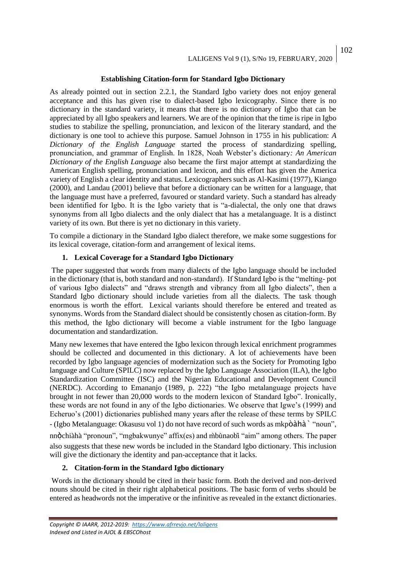# **Establishing Citation-form for Standard Igbo Dictionary**

As already pointed out in section 2.2.1, the Standard Igbo variety does not enjoy general acceptance and this has given rise to dialect-based Igbo lexicography. Since there is no dictionary in the standard variety, it means that there is no dictionary of Igbo that can be appreciated by all Igbo speakers and learners. We are of the opinion that the time is ripe in Igbo studies to stabilize the spelling, pronunciation, and lexicon of the literary standard, and the dictionary is one tool to achieve this purpose. Samuel Johnson in 1755 in his publication: *A Dictionary of the English Language* started the process of standardizing spelling, pronunciation, and grammar of English. In 1828, Noah Webster's dictionary*: An American Dictionary of the English Language* also became the first major attempt at standardizing the American English spelling, pronunciation and lexicon, and this effort has given the America variety of English a clear identity and status. Lexicographers such as Al-Kasimi (1977), Kiango (2000), and Landau (2001) believe that before a dictionary can be written for a language, that the language must have a preferred, favoured or standard variety. Such a standard has already been identified for Igbo. It is the Igbo variety that is "a-dialectal, the only one that draws synonyms from all Igbo dialects and the only dialect that has a metalanguage. It is a distinct variety of its own. But there is yet no dictionary in this variety.

To compile a dictionary in the Standard Igbo dialect therefore, we make some suggestions for its lexical coverage, citation-form and arrangement of lexical items.

# **1. Lexical Coverage for a Standard Igbo Dictionary**

The paper suggested that words from many dialects of the Igbo language should be included in the dictionary (that is, both standard and non-standard). If Standard Igbo is the "melting- pot of various Igbo dialects" and "draws strength and vibrancy from all Igbo dialects", then a Standard Igbo dictionary should include varieties from all the dialects. The task though enormous is worth the effort. Lexical variants should therefore be entered and treated as synonyms. Words from the Standard dialect should be consistently chosen as citation-form. By this method, the Igbo dictionary will become a viable instrument for the Igbo language documentation and standardization.

Many new lexemes that have entered the Igbo lexicon through lexical enrichment programmes should be collected and documented in this dictionary. A lot of achievements have been recorded by Igbo language agencies of modernization such as the Society for Promoting Igbo language and Culture (SPILC) now replaced by the Igbo Language Association (ILA), the Igbo Standardization Committee (ISC) and the Nigerian Educational and Development Council (NERDC). According to Emananjo (1989, p. 222) "the Igbo metalanguage projects have brought in not fewer than 20,000 words to the modern lexicon of Standard Igbo". Ironically, these words are not found in any of the Igbo dictionaries. We observe that Igwe's (1999) and Echeruo's (2001) dictionaries published many years after the release of these terms by SPILC - (Igbo Metalanguage: Okasusu vol 1) do not have record of such words as mkpòàhàˋ "noun", nnòchiaha "pronoun", "mgbakwunye" affix(es) and mbunaobi "aim" among others. The paper also suggests that these new words be included in the Standard Igbo dictionary. This inclusion will give the dictionary the identity and pan-acceptance that it lacks.

## **2. Citation-form in the Standard Igbo dictionary**

Words in the dictionary should be cited in their basic form. Both the derived and non-derived nouns should be cited in their right alphabetical positions. The basic form of verbs should be entered as headwords not the imperative or the infinitive as revealed in the extanct dictionaries.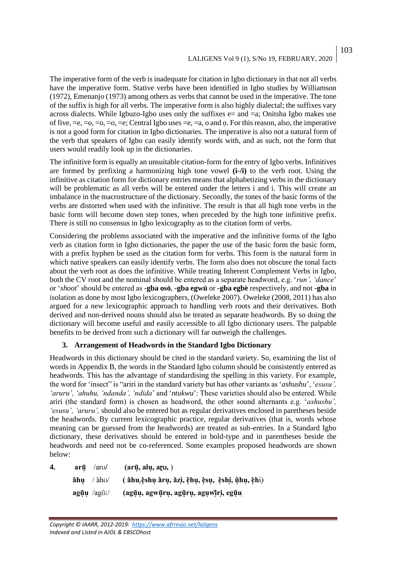The imperative form of the verb is inadequate for citation in Igbo dictionary in that not all verbs have the imperative form. Stative verbs have been identified in Igbo studies by Williamson (1972), Emenanjo (1973) among others as verbs that cannot be used in the imperative. The tone of the suffix is high for all verbs. The imperative form is also highly dialectal; the suffixes vary across dialects. While Igbuzo-Igbo uses only the suffixes  $e=$  and  $=a$ ; Onitsha Igbo makes use of five, =e, =o, =o, =o, =e; Central Igbo uses =e, =a, o and o. For this reason, also, the imperative is not a good form for citation in Igbo dictionaries. The imperative is also not a natural form of the verb that speakers of Igbo can easily identify words with, and as such, not the form that users would readily look up in the dictionaries.

The infinitive form is equally an unsuitable citation-form for the entry of Igbo verbs. Infinitives are formed by prefixing a harmonizing high tone vowel **(i-/i)** to the verb root. Using the infinitive as citation form for dictionary entries means that alphabetizing verbs in the dictionary will be problematic as all verbs will be entered under the letters i and i. This will create an imbalance in the macrostructure of the dictionary. Secondly, the tones of the basic forms of the verbs are distorted when used with the infinitive. The result is that all high tone verbs in the basic form will become down step tones, when preceded by the high tone infinitive prefix. There is still no consensus in Igbo lexicography as to the citation form of verbs.

Considering the problems associated with the imperative and the infinitive forms of the Igbo verb as citation form in Igbo dictionaries, the paper the use of the basic form the basic form, with a prefix hyphen be used as the citation form for verbs. This form is the natural form in which native speakers can easily identify verbs. The form also does not obscure the tonal facts about the verb root as does the infinitive. While treating Inherent Complement Verbs in Igbo, both the CV root and the nominal should be entered as a separate headword, e.g. '*run', 'dance*' or '*shoot*' should be entered as -**gba oso**, **-gba egwu** or **-gba egbe** respectively, and not **-gba** in isolation as done by most Igbo lexicographers, (Oweleke 2007). Oweleke (2008, 2011) has also argued for a new lexicographic approach to handling verb roots and their derivatives. Both derived and non-derived nouns should also be treated as separate headwords. By so doing the dictionary will become useful and easily accessible to all Igbo dictionary users. The palpable benefits to be derived from such a dictionary will far outweigh the challenges.

#### **3. Arrangement of Headwords in the Standard Igbo Dictionary**

Headwords in this dictionary should be cited in the standard variety. So, examining the list of words in Appendix B, the words in the Standard Igbo column should be consistently entered as headwords. This has the advantage of standardising the spelling in this variety. For example, the word for 'insect" is "ariri in the standard variety but has other variants as '*ashushu*', '*esusu', 'aruru', 'ahuhu, 'ndanda', 'ndida*' and '*ntukwu*': These varieties should also be entered. While ariri (the standard form) is chosen as headword, the other sound alternants e.g. '*ashushu', 'esusu', 'aruru',* should also be entered but as regular derivatives enclosed in paretheses beside the headwords. By current lexicographic practice, regular derivatives (that is, words whose meaning can be guessed from the headwords) are treated as sub-entries. In a Standard Igbo dictionary, these derivatives should be entered in bold-type and in parentheses beside the headwords and need not be co-referenced. Some examples proposed headwords are shown below:

**4. aru** /ar**/ (aru, alu, a,** )  **ahu** / ah/ **( ahu**,**eshu aru, azi, ehu, esu, eshi, uhu, eh**i) **aguu** /ag:/ **(aguu, agwu ru, aguru, aguwiri, eguu**

103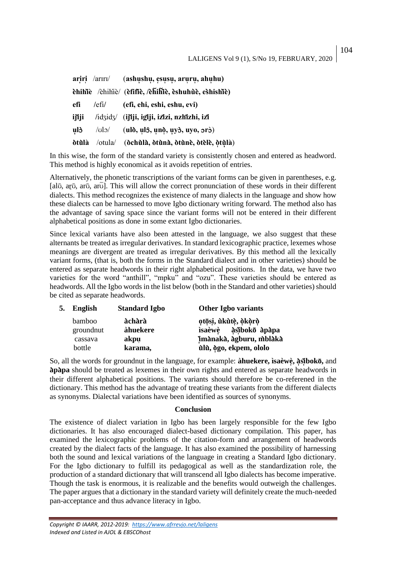104

 **ariri** /arr/ (**ashushu, esusu, aruru, ahuhu) ehihie** /ehihie/ (**efifie, /ehihie, eshuhue, eshishie) efi /**efi**/ (efi, ehi, eshi, eshu, evi) ijiji /**idid/ (**ijiji, igiji, izizi, nzhizhi, izi**   $\frac{1}{2}$   $\frac{1}{2}$   $\frac{1}{2}$   $\frac{1}{2}$   $\frac{1}{2}$   $\frac{1}{2}$   $\frac{1}{2}$   $\frac{1}{2}$   $\frac{1}{2}$   $\frac{1}{2}$   $\frac{1}{2}$   $\frac{1}{2}$   $\frac{1}{2}$   $\frac{1}{2}$   $\frac{1}{2}$   $\frac{1}{2}$   $\frac{1}{2}$   $\frac{1}{2}$   $\frac{1}{2}$   $\frac{1}{2}$   $\frac{1}{2}$   $\frac{1}{2}$   $\$ **otula** /otula/ (**ochula, otuna, otune, otele, otula**)

In this wise, the form of the standard variety is consistently chosen and entered as headword. This method is highly economical as it avoids repetition of entries.

Alternatively, the phonetic transcriptions of the variant forms can be given in parentheses, e.g. [al $\bar{v}$ , ar $\bar{v}$ , ar $\bar{v}$ ]. This will allow the correct pronunciation of these words in their different dialects. This method recognizes the existence of many dialects in the language and show how these dialects can be harnessed to move Igbo dictionary writing forward. The method also has the advantage of saving space since the variant forms will not be entered in their different alphabetical positions as done in some extant Igbo dictionaries.

Since lexical variants have also been attested in the language, we also suggest that these alternants be treated as irregular derivatives. In standard lexicographic practice, lexemes whose meanings are divergent are treated as irregular derivatives. By this method all the lexically variant forms, (that is, both the forms in the Standard dialect and in other varieties) should be entered as separate headwords in their right alphabetical positions. In the data, we have two varieties for the word "anthill", "mpku" and "ozu". These varieties should be entered as headwords. All the Igbo words in the list below (both in the Standard and other varieties) should be cited as separate headwords.

| 5. | English   | <b>Standard Igbo</b> | <b>Other Igbo variants</b> |
|----|-----------|----------------------|----------------------------|
|    | bamboo    | àchàrà               | otōsi, ùkùtè, òkòrò        |
|    | groundnut | àhuekere             | isaèwè àsibokō àpàpa       |
|    | cassava   | akpu                 | imànakà, àgburu, mblàkà    |
|    | bottle    | karama,              | ùlù, ògo, ekpem, ololo     |

So, all the words for groundnut in the language, for example: **àhuekere, ìsaèwè, asiboko,** and **apapa** should be treated as lexemes in their own rights and entered as separate headwords in their different alphabetical positions. The variants should therefore be co-referened in the dictionary. This method has the advantage of treating these variants from the different dialects as synonyms. Dialectal variations have been identified as sources of synonyms.

#### **Conclusion**

The existence of dialect variation in Igbo has been largely responsible for the few Igbo dictionaries. It has also encouraged dialect-based dictionary compilation. This paper, has examined the lexicographic problems of the citation-form and arrangement of headwords created by the dialect facts of the language. It has also examined the possibility of harnessing both the sound and lexical variations of the language in creating a Standard Igbo dictionary. For the Igbo dictionary to fulfill its pedagogical as well as the standardization role, the production of a standard dictionary that will transcend all Igbo dialects has become imperative. Though the task is enormous, it is realizable and the benefits would outweigh the challenges. The paper argues that a dictionary in the standard variety will definitely create the much-needed pan-acceptance and thus advance literacy in Igbo.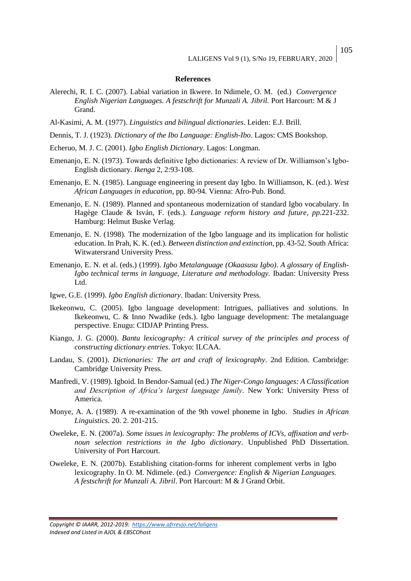#### **References**

- Alerechi, R. I. C. (2007). Labial variation in Ikwere. In Ndimele, O. M. (ed.) *Convergence English Nigerian Languages. A festschrift for Munzali A. Jibril.* Port Harcourt: M & J Grand.
- Al-Kasimi, A. M. (1977). *Linguistics and bilingual dictionaries*. Leiden: E.J. Brill.
- Dennis, T. J. (1923). *Dictionary of the Ibo Language: English-Ibo*. Lagos: CMS Bookshop.
- Echeruo, M. J. C. (2001). *Igbo English Dictionary*. Lagos: Longman.
- Emenanjo, E. N. (1973). Towards definitive Igbo dictionaries: A review of Dr. Williamson's Igbo-English dictionary. *Ikenga* 2, 2:93-108.
- Emenanjo, E. N. (1985). Language engineering in present day Igbo. In Williamson, K. (ed.). *West African Languages in education*, pp. 80-94. Vienna: Afro-Pub. Bond.
- Emenanjo, E. N. (1989). Planned and spontaneous modernization of standard Igbo vocabulary. In Hagège Claude & Isván, F. (eds.). *Language reform history and future, pp.*221-232. Hamburg: Helmut Buske Verlag.
- Emenanjo, E. N. (1998). The modernization of the Igbo language and its implication for holistic education. In Prah, K. K. (ed.). *Between distinction and extinction*, pp. 43-52. South Africa: Witwatersrand University Press.
- Emenanjo, E. N. et al. (eds.) (1999). *Igbo Metalanguage (Okaasusu Igbo)*. *A glossary of English-Igbo technical terms in language, Literature and methodology.* Ibadan: University Press Ltd.
- Igwe, G.E. (1999). *Igbo English dictionary*. Ibadan: University Press.
- Ikekeonwu, C. (2005). Igbo language development: Intrigues, palliatives and solutions. In Ikekeonwu, C. & Inno Nwadike (eds.). Igbo language development: The metalanguage perspective. Enugu: CIDJAP Printing Press.
- Kiango, J. G. (2000). *Bantu lexicography: A critical survey of the principles and process of constructing dictionary entries*. Tokyo: ILCAA.
- Landau, S. (2001). *Dictionaries: The art and craft of lexicography*. 2nd Edition. Cambridge: Cambridge University Press.
- Manfredi, V. (1989). Igboid. In Bendor-Samual (ed.) *The Niger-Congo languages: A Classification and Description of Africa's largest language family*. New York: University Press of America.
- Monye, A. A. (1989). A re-examination of the 9th vowel phoneme in Igbo. *Studies in African Linguistics.* 20. 2. 201-215.
- Oweleke, E. N. (2007a). *Some issues in lexicography: The problems of ICVs, affixation and verbnoun selection restrictions in the Igbo dictionary*. Unpublished PhD Dissertation. University of Port Harcourt.
- Oweleke, E. N. (2007b). Establishing citation-forms for inherent complement verbs in Igbo lexicography. In O. M. Ndimele. (ed.) *Convergence: English & Nigerian Languages. A festschrift for Munzali A. Jibril*. Port Harcourt: M & J Grand Orbit.

*Copyright © IAARR, 2012-2019: <https://www.afrrevjo.net/laligens> Indexed and Listed in AJOL & EBSCOhost*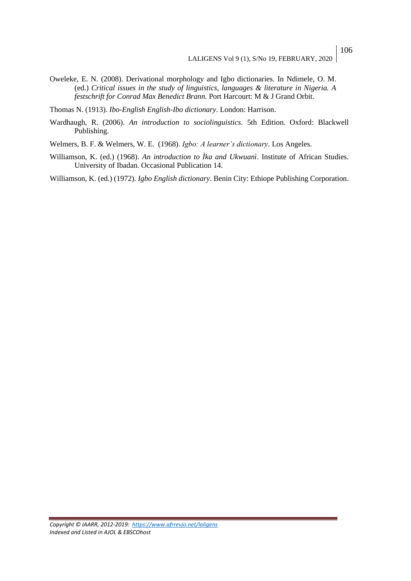Oweleke, E. N. (2008). Derivational morphology and Igbo dictionaries. In Ndimele, O. M. (ed.) *Critical issues in the study of linguistics, languages & literature in Nigeria. A festschrift for Conrad Max Benedict Brann.* Port Harcourt: M & J Grand Orbit.

Thomas N. (1913). *Ibo-English English-Ibo dictionary*. London: Harrison.

Wardhaugh, R. (2006). *An introduction to sociolinguistics.* 5th Edition. Oxford: Blackwell Publishing.

Welmers, B. F. & Welmers, W. E. (1968). *Igbo: A learner's dictionary*. Los Angeles.

Williamson, K. (ed.) (1968). *An introduction to Ìka and Ukwuanì*. Institute of African Studies. University of Ibadan. Occasional Publication 14.

Williamson, K. (ed.) (1972). *Igbo English dictionary*. Benin City: Ethiope Publishing Corporation.